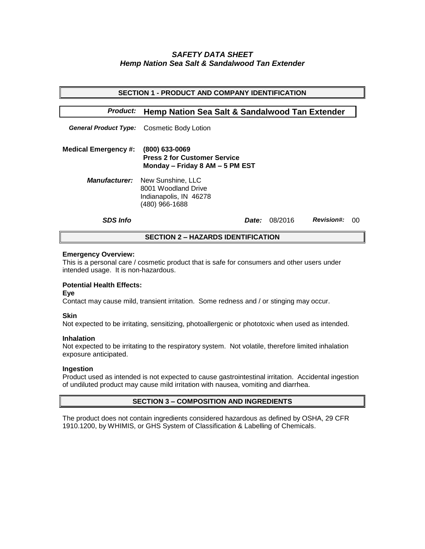# *SAFETY DATA SHEET Hemp Nation Sea Salt & Sandalwood Tan Extender*

| <b>SECTION 1 - PRODUCT AND COMPANY IDENTIFICATION</b> |                                                                                          |                                    |  |  |  |
|-------------------------------------------------------|------------------------------------------------------------------------------------------|------------------------------------|--|--|--|
| <b>Product:</b>                                       | <b>Hemp Nation Sea Salt &amp; Sandalwood Tan Extender</b>                                |                                    |  |  |  |
|                                                       | General Product Type: Cosmetic Body Lotion                                               |                                    |  |  |  |
| <b>Medical Emergency #:</b>                           | (800) 633-0069<br><b>Press 2 for Customer Service</b><br>Monday – Friday 8 AM – 5 PM EST |                                    |  |  |  |
| <i><b>Manufacturer:</b></i>                           | New Sunshine, LLC<br>8001 Woodland Drive<br>Indianapolis, IN 46278<br>(480) 966-1688     |                                    |  |  |  |
| <b>SDS Info</b>                                       | Date:                                                                                    | <b>Revision#:</b><br>08/2016<br>00 |  |  |  |
| <b>SECTION 2 – HAZARDS IDENTIFICATION</b>             |                                                                                          |                                    |  |  |  |

### **Emergency Overview:**

This is a personal care / cosmetic product that is safe for consumers and other users under intended usage. It is non-hazardous.

# **Potential Health Effects:**

**Eye**

Contact may cause mild, transient irritation. Some redness and / or stinging may occur.

## **Skin**

Not expected to be irritating, sensitizing, photoallergenic or phototoxic when used as intended.

#### **Inhalation**

Not expected to be irritating to the respiratory system. Not volatile, therefore limited inhalation exposure anticipated.

## **Ingestion**

Product used as intended is not expected to cause gastrointestinal irritation. Accidental ingestion of undiluted product may cause mild irritation with nausea, vomiting and diarrhea.

## **SECTION 3 – COMPOSITION AND INGREDIENTS**

The product does not contain ingredients considered hazardous as defined by OSHA, 29 CFR 1910.1200, by WHIMIS, or GHS System of Classification & Labelling of Chemicals.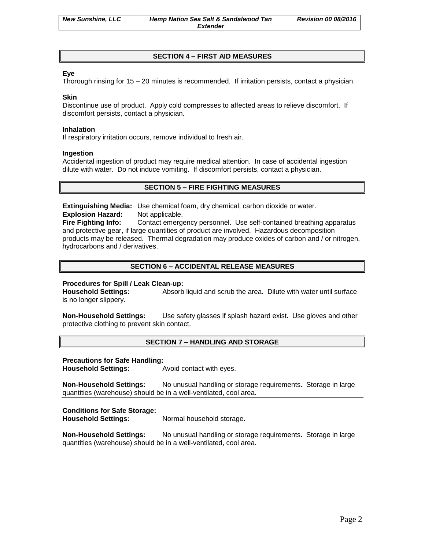# **SECTION 4 – FIRST AID MEASURES**

# **Eye**

Thorough rinsing for 15 – 20 minutes is recommended. If irritation persists, contact a physician.

### **Skin**

Discontinue use of product. Apply cold compresses to affected areas to relieve discomfort. If discomfort persists, contact a physician.

### **Inhalation**

If respiratory irritation occurs, remove individual to fresh air.

### **Ingestion**

Accidental ingestion of product may require medical attention. In case of accidental ingestion dilute with water. Do not induce vomiting. If discomfort persists, contact a physician.

# **SECTION 5 – FIRE FIGHTING MEASURES**

**Extinguishing Media:** Use chemical foam, dry chemical, carbon dioxide or water. **Explosion Hazard:** Not applicable.

**Fire Fighting Info:** Contact emergency personnel. Use self-contained breathing apparatus and protective gear, if large quantities of product are involved. Hazardous decomposition products may be released. Thermal degradation may produce oxides of carbon and / or nitrogen, hydrocarbons and / derivatives.

# **SECTION 6 – ACCIDENTAL RELEASE MEASURES**

## **Procedures for Spill / Leak Clean-up:**

**Household Settings:** Absorb liquid and scrub the area. Dilute with water until surface is no longer slippery.

**Non-Household Settings:** Use safety glasses if splash hazard exist. Use gloves and other protective clothing to prevent skin contact.

## **SECTION 7 – HANDLING AND STORAGE**

#### **Precautions for Safe Handling:**

**Household Settings:** Avoid contact with eyes.

**Non-Household Settings:** No unusual handling or storage requirements. Storage in large quantities (warehouse) should be in a well-ventilated, cool area.

## **Conditions for Safe Storage:**

**Household Settings:** Normal household storage.

**Non-Household Settings:** No unusual handling or storage requirements. Storage in large quantities (warehouse) should be in a well-ventilated, cool area.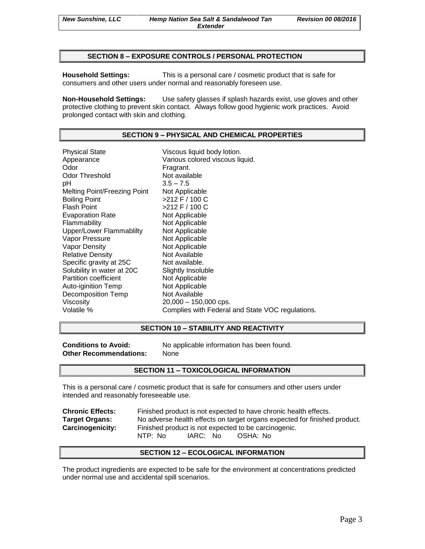### **SECTION 8 – EXPOSURE CONTROLS / PERSONAL PROTECTION**

**Household Settings:** This is a personal care / cosmetic product that is safe for consumers and other users under normal and reasonably foreseen use.

**Non-Household Settings:** Use safety glasses if splash hazards exist, use gloves and other protective clothing to prevent skin contact. Always follow good hygienic work practices. Avoid prolonged contact with skin and clothing.

### **SECTION 9 – PHYSICAL AND CHEMICAL PROPERTIES**

Physical State Viscous liquid body lotion. Appearance Various colored viscous liquid.<br>
Odor Color Color Fragrant. Odor Threshold Not available pH 3.5 – 7.5 Melting Point/Freezing Point Not Applicable Boiling Point >212 F / 100 C Flash Point  $>212$  F / 100 C Evaporation Rate Not Applicable Flammability Not Applicable Upper/Lower Flammablilty Not Applicable Vapor Pressure Not Applicable Vapor Density Not Applicable Relative Density Not Available Specific gravity at 25C Not available. Solubility in water at 20C Slightly Insoluble Partition coefficient Not Applicable Auto-iginition Temp Not Applicable Decomposition Temp Not Available Viscosity 20,000 – 150,000 cps. Volatile % Complies with Federal and State VOC regulations.

### **SECTION 10 – STABILITY AND REACTIVITY**

**Other Recommendations:** None

**Conditions to Avoid:** No applicable information has been found.

#### **SECTION 11 – TOXICOLOGICAL INFORMATION**

This is a personal care / cosmetic product that is safe for consumers and other users under intended and reasonably foreseeable use.

| <b>Chronic Effects:</b> | Finished product is not expected to have chronic health effects.          |  |  |
|-------------------------|---------------------------------------------------------------------------|--|--|
| <b>Target Organs:</b>   | No adverse health effects on target organs expected for finished product. |  |  |
| <b>Carcinogenicity:</b> | Finished product is not expected to be carcinogenic.                      |  |  |
|                         | IARC: No<br>NTP: No<br>OSHA: No                                           |  |  |

#### **SECTION 12 – ECOLOGICAL INFORMATION**

The product ingredients are expected to be safe for the environment at concentrations predicted under normal use and accidental spill scenarios.